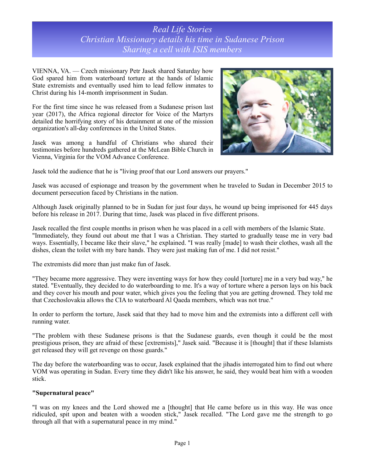# *Real Life Stories Christian Missionary details his time in Sudanese Prison Sharing a cell with ISIS members*

VIENNA, VA. — Czech missionary Petr Jasek shared Saturday how God spared him from waterboard torture at the hands of Islamic State extremists and eventually used him to lead fellow inmates to Christ during his 14-month imprisonment in Sudan.

For the first time since he was released from a Sudanese prison last year (2017), the Africa regional director for Voice of the Martyrs detailed the horrifying story of his detainment at one of the mission organization's all-day conferences in the United States.

Jasek was among a handful of Christians who shared their testimonies before hundreds gathered at the McLean Bible Church in Vienna, Virginia for the VOM Advance Conference.



Jasek told the audience that he is "living proof that our Lord answers our prayers."

Jasek was accused of espionage and treason by the government when he traveled to Sudan in December 2015 to document persecution faced by Christians in the nation.

Although Jasek originally planned to be in Sudan for just four days, he wound up being imprisoned for 445 days before his release in 2017. During that time, Jasek was placed in five different prisons.

Jasek recalled the first couple months in prison when he was placed in a cell with members of the Islamic State. "Immediately, they found out about me that I was a Christian. They started to gradually tease me in very bad ways. Essentially, I became like their slave," he explained. "I was really [made] to wash their clothes, wash all the dishes, clean the toilet with my bare hands. They were just making fun of me. I did not resist."

The extremists did more than just make fun of Jasek.

"They became more aggressive. They were inventing ways for how they could [torture] me in a very bad way," he stated. "Eventually, they decided to do waterboarding to me. It's a way of torture where a person lays on his back and they cover his mouth and pour water, which gives you the feeling that you are getting drowned. They told me that Czechoslovakia allows the CIA to waterboard Al Qaeda members, which was not true."

In order to perform the torture, Jasek said that they had to move him and the extremists into a different cell with running water.

"The problem with these Sudanese prisons is that the Sudanese guards, even though it could be the most prestigious prison, they are afraid of these [extremists]," Jasek said. "Because it is [thought] that if these Islamists get released they will get revenge on those guards."

The day before the waterboarding was to occur, Jasek explained that the jihadis interrogated him to find out where VOM was operating in Sudan. Every time they didn't like his answer, he said, they would beat him with a wooden stick.

### **"Supernatural peace"**

"I was on my knees and the Lord showed me a [thought] that He came before us in this way. He was once ridiculed, spit upon and beaten with a wooden stick," Jasek recalled. "The Lord gave me the strength to go through all that with a supernatural peace in my mind."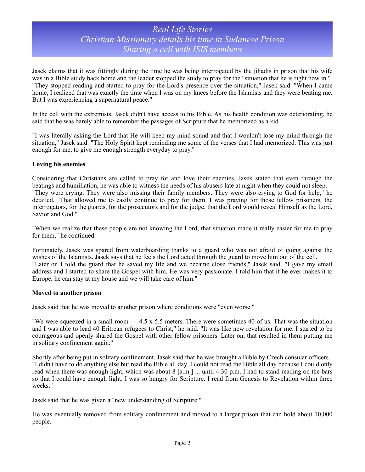# *Real Life Stories Christian Missionary details his time in Sudanese Prison Sharing a cell with ISIS members*

Jasek claims that it was fittingly during the time he was being interrogated by the jihadis in prison that his wife was in a Bible study back home and the leader stopped the study to pray for the "situation that he is right now in." "They stopped reading and started to pray for the Lord's presence over the situation," Jasek said. "When I came home, I realized that was exactly the time when I was on my knees before the Islamists and they were beating me. But I was experiencing a supernatural peace."

In the cell with the extremists, Jasek didn't have access to his Bible. As his health condition was deteriorating, he said that he was barely able to remember the passages of Scripture that he memorized as a kid.

"I was literally asking the Lord that He will keep my mind sound and that I wouldn't lose my mind through the situation," Jasek said. "The Holy Spirit kept reminding me some of the verses that I had memorized. This was just enough for me, to give me enough strength everyday to pray."

### **Loving his enemies**

Considering that Christians are called to pray for and love their enemies, Jasek stated that even through the beatings and humiliation, he was able to witness the needs of his abusers late at night when they could not sleep. "They were crying. They were also missing their family members. They were also crying to God for help," he detailed. "That allowed me to easily continue to pray for them. I was praying for those fellow prisoners, the interrogators, for the guards, for the prosecutors and for the judge, that the Lord would reveal Himself as the Lord, Savior and God."

"When we realize that these people are not knowing the Lord, that situation made it really easier for me to pray for them," he continued.

Fortunately, Jasek was spared from waterboarding thanks to a guard who was not afraid of going against the wishes of the Islamists. Jasek says that he feels the Lord acted through the guard to move him out of the cell. "Later on I told the guard that he saved my life and we became close friends," Jasek said. "I gave my email address and I started to share the Gospel with him. He was very passionate. I told him that if he ever makes it to Europe, he can stay at my house and we will take care of him."

#### **Moved to another prison**

Jasek said that he was moved to another prison where conditions were "even worse."

"We were squeezed in a small room — 4.5 x 5.5 meters. There were sometimes 40 of us. That was the situation and I was able to lead 40 Eritrean refugees to Christ," he said. "It was like new revelation for me. I started to be courageous and openly shared the Gospel with other fellow prisoners. Later on, that resulted in them putting me in solitary confinement again."

Shortly after being put in solitary confinement, Jasek said that he was brought a Bible by Czech consular officers. "I didn't have to do anything else but read the Bible all day. I could not read the Bible all day because I could only read when there was enough light, which was about 8 [a.m.] ... until 4:30 p.m. I had to stand reading on the bars so that I could have enough light. I was so hungry for Scripture. I read from Genesis to Revelation within three weeks."

Jasek said that he was given a "new understanding of Scripture."

He was eventually removed from solitary confinement and moved to a larger prison that can hold about 10,000 people.